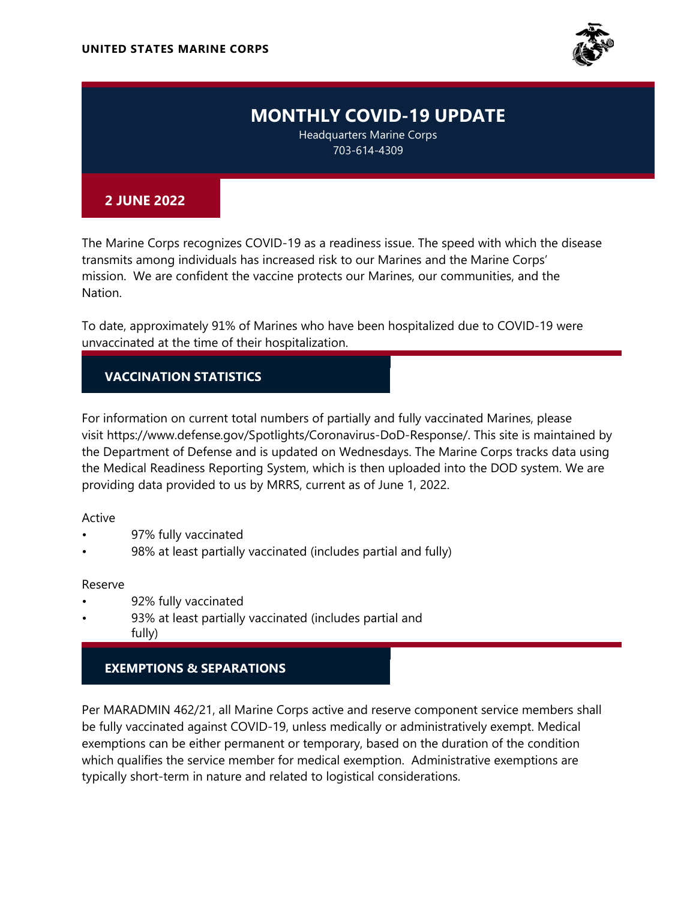

# **MONTHLY** COVID-19 UPDATE

Headquarters Marine Corps 703-614-4309

### **2 JUNE** 2022

The Marine Corps recognizes COVID-19 as a readiness issue. The speed with which the disease transmits among individuals has increased risk to our Marines and the Marine Corps' mission. We are confident the vaccine protects our Marines, our communities, and the Nation.

To date, approximately 91% of Marines who have been hospitalized due to COVID-19 were unvaccinated at the time of their hospitalization.

## VACCINATION STATISTICS

For information on current total numbers of partially and fully vaccinated Marines, please visit https://www.defense.gov/Spotlights/Coronavirus-DoD-Response/. This site is maintained by the Department of Defense and is updated on Wednesdays. The Marine Corps tracks data using the Medical Readiness Reporting System, which is then uploaded into the DOD system. We are providing data provided to us by MRRS, current as of June 1, 2022.

#### Active

- 97% fully vaccinated
- 98% at least partially vaccinated (includes partial and fully)

#### Reserve

- 92% fully vaccinated
- 93% at least partially vaccinated (includes partial and fully)

## EXEMPTIONS & SEPARATIONS

Per MARADMIN 462/21, all Marine Corps active and reserve component service members shall be fully vaccinated against COVID-19, unless medically or administratively exempt. Medical exemptions can be either permanent or temporary, based on the duration of the condition which qualifies the service member for medical exemption. Administrative exemptions are typically short-term in nature and related to logistical considerations.